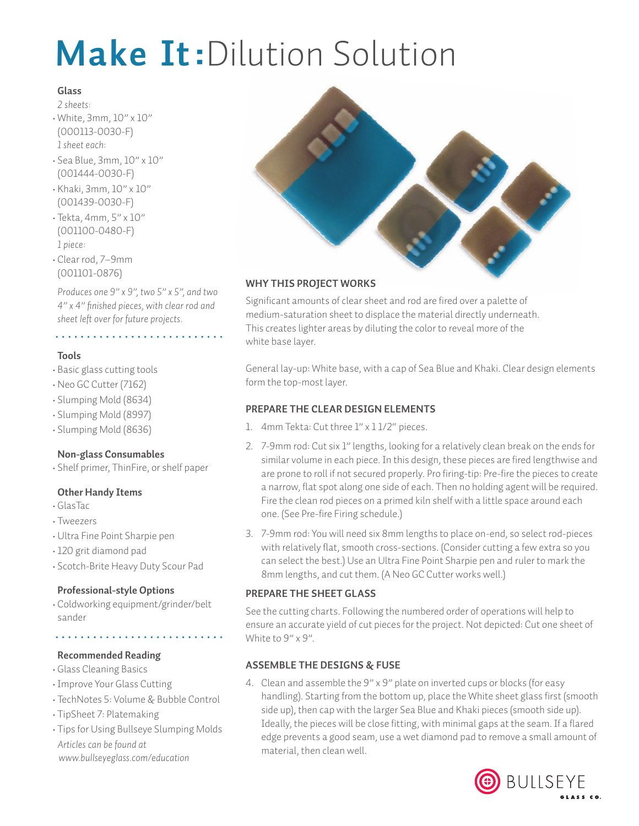# **Make It:**Dilution Solution

#### **Glass**

- *2 sheets:* • White, 3mm, 10" x 10" (000113-0030-F) *1 sheet each:*
- Sea Blue, 3mm, 10" x 10" (001444-0030-F)
- Khaki, 3mm, 10" x 10" (001439-0030-F)
- Tekta, 4mm, 5" x 10" (001100-0480-F) *1 piece:*
- Clear rod, 7–9mm (001101-0876)

*Produces one 9" x 9", two 5" x 5", and two 4" x 4" finished pieces, with clear rod and sheet left over for future projects.*

## 

## **Tools**

- Basic glass cutting tools
- •Neo GC Cutter (7162)
- Slumping Mold (8634)
- Slumping Mold (8997)
- Slumping Mold (8636)

## **Non-glass Consumables**

• Shelf primer, ThinFire, or shelf paper

## **Other Handy Items**

- GlasTac•
- Tweezers•
- •Ultra Fine Point Sharpie pen
- 120 grit diamond pad
- Scotch-Brite Heavy Duty Scour Pad

#### **Professional-style Options**

• Coldworking equipment/grinder/belt sander

## **Recommended Reading**

- Glass Cleaning Basics
- •Improve Your Glass Cutting
- TechNotes 5: Volume & Bubble Control
- TipSheet 7: Platemaking
- Tips for Using Bullseye Slumping Molds *Articles can be found at www.bullseyeglass.com/education*



#### **WHY THIS PROJECT WORKS**

Significant amounts of clear sheet and rod are fired over a palette of medium-saturation sheet to displace the material directly underneath. This creates lighter areas by diluting the color to reveal more of the white base layer.

General lay-up: White base, with a cap of Sea Blue and Khaki. Clear design elements form the top-most layer.

#### **PREPARE THE CLEAR DESIGN ELEMENTS**

- 1. 4mm Tekta: Cut three 1" x 1 1/2" pieces.
- 2. 7-9mm rod: Cut six 1" lengths, looking for a relatively clean break on the ends for similar volume in each piece. In this design, these pieces are fired lengthwise and are prone to roll if not secured properly. Pro firing-tip: Pre-fire the pieces to create a narrow, flat spot along one side of each. Then no holding agent will be required. Fire the clean rod pieces on a primed kiln shelf with a little space around each one. (See Pre-fire Firing schedule.)
- 3. 7-9mm rod: You will need six 8mm lengths to place on-end, so select rod-pieces with relatively flat, smooth cross-sections. (Consider cutting a few extra so you can select the best.) Use an Ultra Fine Point Sharpie pen and ruler to mark the 8mm lengths, and cut them. (A Neo GC Cutter works well.)

## **PREPARE THE SHEET GLASS**

See the cutting charts. Following the numbered order of operations will help to ensure an accurate yield of cut pieces for the project. Not depicted: Cut one sheet of White to 9" x 9".

## **ASSEMBLE THE DESIGNS & FUSE**

4. Clean and assemble the 9" x 9" plate on inverted cups or blocks (for easy handling). Starting from the bottom up, place the White sheet glass first (smooth side up), then cap with the larger Sea Blue and Khaki pieces (smooth side up). Ideally, the pieces will be close fitting, with minimal gaps at the seam. If a flared edge prevents a good seam, use a wet diamond pad to remove a small amount of material, then clean well.